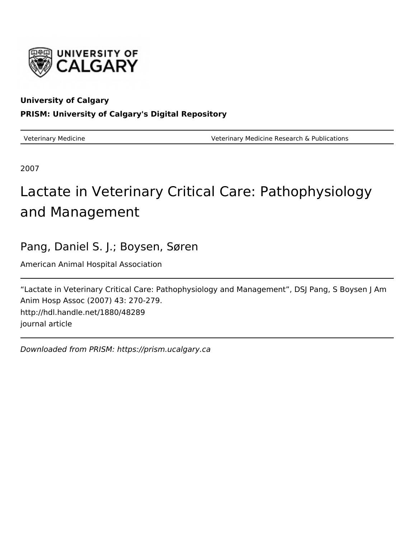

# **University of Calgary**

# **PRISM: University of Calgary's Digital Repository**

Veterinary Medicine Veterinary Medicine Research & Publications

2007

# Lactate in Veterinary Critical Care: Pathophysiology and Management

Pang, Daniel S. J.; Boysen, Søren

American Animal Hospital Association

"Lactate in Veterinary Critical Care: Pathophysiology and Management", DSJ Pang, S Boysen J Am Anim Hosp Assoc (2007) 43: 270-279. http://hdl.handle.net/1880/48289 journal article

Downloaded from PRISM: https://prism.ucalgary.ca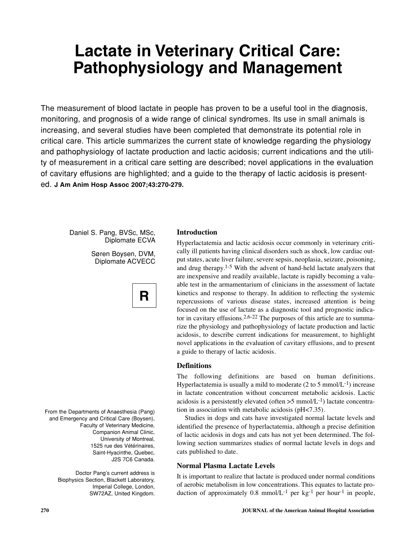# **Lactate in Veterinary Critical Care: Pathophysiology and Management**

The measurement of blood lactate in people has proven to be a useful tool in the diagnosis, monitoring, and prognosis of a wide range of clinical syndromes. Its use in small animals is increasing, and several studies have been completed that demonstrate its potential role in critical care. This article summarizes the current state of knowledge regarding the physiology and pathophysiology of lactate production and lactic acidosis; current indications and the utility of measurement in a critical care setting are described; novel applications in the evaluation of cavitary effusions are highlighted; and a guide to the therapy of lactic acidosis is presented. **J Am Anim Hosp Assoc 2007;43:270-279.**

Daniel S. Pang, BVSc, MSc, Diplomate ECVA

> Søren Boysen, DVM, Diplomate ACVECC



From the Departments of Anaesthesia (Pang) and Emergency and Critical Care (Boysen), Faculty of Veterinary Medicine, Companion Animal Clinic, University of Montreal, 1525 rue des Vétérinaires, Saint-Hyacinthe, Quebec, J2S 7C6 Canada.

> Doctor Pang's current address is Biophysics Section, Blackett Laboratory, Imperial College, London, SW72AZ, United Kingdom.

## **Introduction**

Hyperlactatemia and lactic acidosis occur commonly in veterinary critically ill patients having clinical disorders such as shock, low cardiac output states, acute liver failure, severe sepsis, neoplasia, seizure, poisoning, and drug therapy. 1-5 With the advent of hand-held lactate analyzers that are inexpensive and readily available, lactate is rapidly becoming a valuable test in the armamentarium of clinicians in the assessment of lactate kinetics and response to therapy. In addition to reflecting the systemic repercussions of various disease states, increased attention is being focused on the use of lactate as a diagnostic tool and prognostic indicator in cavitary effusions. 2,6-22 The purposes of this article are to summarize the physiology and pathophysiology of lactate production and lactic acidosis, to describe current indications for measurement, to highlight novel applications in the evaluation of cavitary effusions, and to present a guide to therapy of lactic acidosis.

## **Definitions**

The following definitions are based on human definitions. Hyperlactatemia is usually a mild to moderate  $(2 \text{ to } 5 \text{ mmol/L}^{-1})$  increase in lactate concentration without concurrent metabolic acidosis. Lactic acidosis is a persistently elevated (often  $>5$  mmol/L<sup>-1</sup>) lactate concentration in association with metabolic acidosis (pH<7.35).

Studies in dogs and cats have investigated normal lactate levels and identified the presence of hyperlactatemia, although a precise definition of lactic acidosis in dogs and cats has not yet been determined. The following section summarizes studies of normal lactate levels in dogs and cats published to date.

#### **Normal Plasma Lactate Levels**

It is important to realize that lactate is produced under normal conditions of aerobic metabolism in low concentrations. This equates to lactate production of approximately  $0.8 \text{ mmol/L}^{-1}$  per kg<sup>-1</sup> per hour<sup>-1</sup> in people,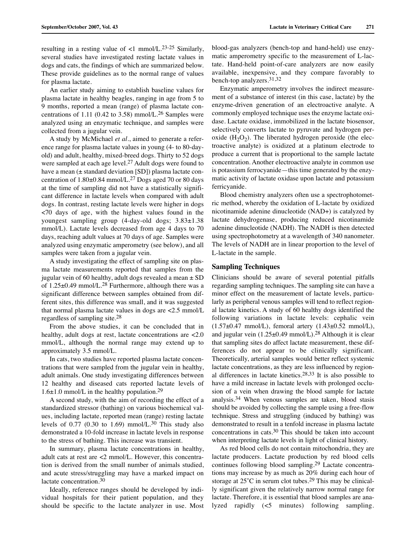resulting in a resting value of <1 mmol/L. 23-25 Similarly, several studies have investigated resting lactate values in dogs and cats, the findings of which are summarized below. These provide guidelines as to the normal range of values for plasma lactate.

An earlier study aiming to establish baseline values for plasma lactate in healthy beagles, ranging in age from 5 to 9 months, reported a mean (range) of plasma lactate concentrations of  $1.11$  (0.42 to 3.58) mmol/L.<sup>26</sup> Samples were analyzed using an enzymatic technique, and samples were collected from a jugular vein.

A study by McMichael *et al*., aimed to generate a reference range for plasma lactate values in young (4- to 80-dayold) and adult, healthy, mixed-breed dogs. Thirty to 52 dogs were sampled at each age level. 27 Adult dogs were found to have a mean  $(\pm$  standard deviation [SD]) plasma lactate concentration of 1.80±0.84 mmol/L. 27 Dogs aged 70 or 80 days at the time of sampling did not have a statistically significant difference in lactate levels when compared with adult dogs. In contrast, resting lactate levels were higher in dogs <70 days of age, with the highest values found in the youngest sampling group (4-day-old dogs; 3.83±1.38 mmol/L). Lactate levels decreased from age 4 days to 70 days, reaching adult values at 70 days of age. Samples were analyzed using enzymatic amperometry (see below), and all samples were taken from a jugular vein.

A study investigating the effect of sampling site on plasma lactate measurements reported that samples from the jugular vein of 60 healthy, adult dogs revealed a mean  $\pm$  SD of 1.25±0.49 mmol/L. 28 Furthermore, although there was a significant difference between samples obtained from different sites, this difference was small, and it was suggested that normal plasma lactate values in dogs are <2.5 mmol/L regardless of sampling site. 28

From the above studies, it can be concluded that in healthy, adult dogs at rest, lactate concentrations are  $\langle 2.0 \rangle$ mmol/L, although the normal range may extend up to approximately 3.5 mmol/L.

In cats, two studies have reported plasma lactate concentrations that were sampled from the jugular vein in healthy, adult animals. One study investigating differences between 12 healthy and diseased cats reported lactate levels of 1.6 $\pm$ 1.0 mmol/L in the healthy population.<sup>29</sup>

A second study, with the aim of recording the effect of a standardized stressor (bathing) on various biochemical values, including lactate, reported mean (range) resting lactate levels of  $0.77$  (0.30 to 1.69) mmol/L.<sup>30</sup> This study also demonstrated a 10-fold increase in lactate levels in response to the stress of bathing. This increase was transient.

In summary, plasma lactate concentrations in healthy, adult cats at rest are <2 mmol/L. However, this concentration is derived from the small number of animals studied, and acute stress/struggling may have a marked impact on lactate concentration. 30

Ideally, reference ranges should be developed by individual hospitals for their patient population, and they should be specific to the lactate analyzer in use. Most blood-gas analyzers (bench-top and hand-held) use enzymatic amperometry specific to the measurement of L-lactate. Hand-held point-of-care analyzers are now easily available, inexpensive, and they compare favorably to bench-top analyzers. 31,32

Enzymatic amperometry involves the indirect measurement of a substance of interest (in this case, lactate) by the enzyme-driven generation of an electroactive analyte. A commonly employed technique uses the enzyme lactate oxidase. Lactate oxidase, immobilized in the lactate biosensor, selectively converts lactate to pyruvate and hydrogen peroxide  $(H_2O_2)$ . The liberated hydrogen peroxide (the electroactive analyte) is oxidized at a platinum electrode to produce a current that is proportional to the sample lactate concentration. Another electroactive analyte in common use is potassium ferrocyanide—this time generated by the enzymatic activity of lactate oxidase upon lactate and potassium ferricyanide.

Blood chemistry analyzers often use a spectrophotometric method, whereby the oxidation of L-lactate by oxidized nicotinamide adenine dinucleotide (NAD+) is catalyzed by lactate dehydrogenase, producing reduced nicotinamide adenine dinucleotide (NADH). The NADH is then detected using spectrophotometry at a wavelength of 340 nanometer. The levels of NADH are in linear proportion to the level of L-lactate in the sample.

#### **Sampling Techniques**

Clinicians should be aware of several potential pitfalls regarding sampling techniques. The sampling site can have a minor effect on the measurement of lactate levels, particularly as peripheral venous samples will tend to reflect regional lactate kinetics. A study of 60 healthy dogs identified the following variations in lactate levels: cephalic vein  $(1.57\pm0.47 \text{ mmol/L})$ , femoral artery  $(1.43\pm0.52 \text{ mmol/L})$ , and jugular vein (1.25±0.49 mmol/L).<sup>28</sup> Although it is clear that sampling sites do affect lactate measurement, these differences do not appear to be clinically significant. Theoretically, arterial samples would better reflect systemic lactate concentrations, as they are less influenced by regional differences in lactate kinetics. 28,33 It is also possible to have a mild increase in lactate levels with prolonged occlusion of a vein when drawing the blood sample for lactate analysis. 34 When venous samples are taken, blood stasis should be avoided by collecting the sample using a free-flow technique. Stress and struggling (induced by bathing) was demonstrated to result in a tenfold increase in plasma lactate concentrations in cats. 30 This should be taken into account when interpreting lactate levels in light of clinical history.

As red blood cells do not contain mitochondria, they are lactate producers. Lactate production by red blood cells continues following blood sampling. 29 Lactate concentrations may increase by as much as 20% during each hour of storage at 25°C in serum clot tubes.<sup>29</sup> This may be clinically significant given the relatively narrow normal range for lactate. Therefore, it is essential that blood samples are analyzed rapidly (<5 minutes) following sampling.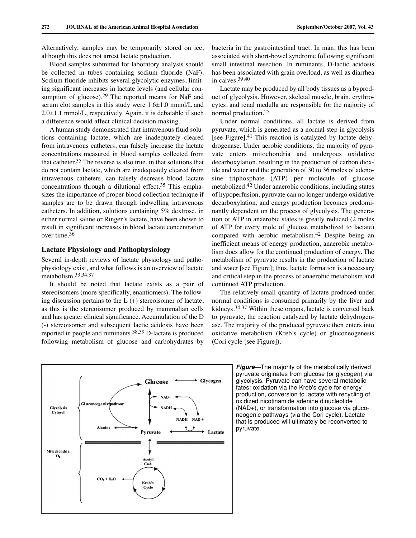Alternatively, samples may be temporarily stored on ice, although this does not arrest lactate production.

Blood samples submitted for laboratory analysis should be collected in tubes containing sodium fluoride (NaF). Sodium fluoride inhibits several glycolytic enzymes, limiting significant increases in lactate levels (and cellular consumption of glucose).<sup>29</sup> The reported means for NaF and serum clot samples in this study were 1.6±1.0 mmol/L and 2.0±1.1 mmol/L, respectively. Again, it is debatable if such a difference would affect clinical decision making.

A human study demonstrated that intravenous fluid solutions containing lactate, which are inadequately cleared from intravenous catheters, can falsely increase the lactate concentrations measured in blood samples collected from that catheter. 35 The reverse is also true, in that solutions that do not contain lactate, which are inadequately cleared from intravenous catheters, can falsely decrease blood lactate concentrations through a dilutional effect. 35 This emphasizes the importance of proper blood collection technique if samples are to be drawn through indwelling intravenous catheters. In addition, solutions containing 5% dextrose, in either normal saline or Ringer's lactate, have been shown to result in significant increases in blood lactate concentration over time. 36

#### **Lactate Physiology and Pathophysiology**

Several in-depth reviews of lactate physiology and pathophysiology exist, and what follows is an overview of lactate metabolism. 33,34,37

It should be noted that lactate exists as a pair of stereoisomers (more specifically, enantiomers). The following discussion pertains to the  $L$  (+) stereoisomer of lactate, as this is the stereoisomer produced by mammalian cells and has greater clinical significance. Accumulation of the D (-) stereoisomer and subsequent lactic acidosis have been reported in people and ruminants. 38,39 D-lactate is produced following metabolism of glucose and carbohydrates by

bacteria in the gastrointestinal tract. In man, this has been associated with short-bowel syndrome following significant small intestinal resection. In ruminants, D-lactic acidosis has been associated with grain overload, as well as diarrhea in calves. 39,40

Lactate may be produced by all body tissues as a byproduct of glycolysis. However, skeletal muscle, brain, erythrocytes, and renal medulla are responsible for the majority of normal production. 25

Under normal conditions, all lactate is derived from pyruvate, which is generated as a normal step in glycolysis [see Figure].<sup>41</sup> This reaction is catalyzed by lactate dehydrogenase. Under aerobic conditions, the majority of pyruvate enters mitochondria and undergoes oxidative decarboxylation, resulting in the production of carbon dioxide and water and the generation of 30 to 36 moles of adenosine triphosphate (ATP) per molecule of glucose metabolized. 42 Under anaerobic conditions, including states of hypoperfusion, pyruvate can no longer undergo oxidative decarboxylation, and energy production becomes predominantly dependent on the process of glycolysis. The generation of ATP in anaerobic states is greatly reduced (2 moles of ATP for every mole of glucose metabolized to lactate) compared with aerobic metabolism. 42 Despite being an inefficient means of energy production, anaerobic metabolism does allow for the continued production of energy. The metabolism of pyruvate results in the production of lactate and water [see Figure]; thus, lactate formation is a necessary and critical step in the process of anaerobic metabolism and continued ATP production.

The relatively small quantity of lactate produced under normal conditions is consumed primarily by the liver and kidneys.<sup>34,37</sup> Within these organs, lactate is converted back to pyruvate, the reaction catalyzed by lactate dehydrogenase. The majority of the produced pyruvate then enters into oxidative metabolism (Kreb's cycle) or gluconeogenesis (Cori cycle [see Figure]).



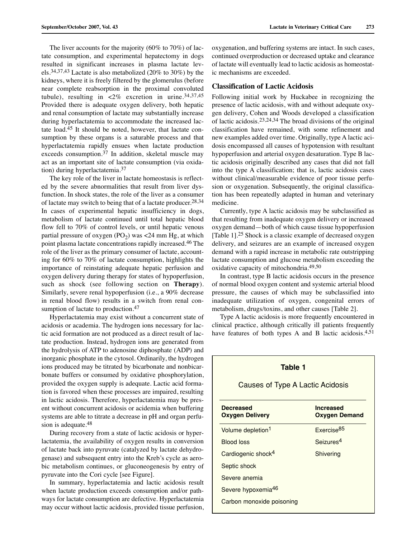The liver accounts for the majority (60% to 70%) of lactate consumption, and experimental hepatectomy in dogs resulted in significant increases in plasma lactate levels. 34,37,43 Lactate is also metabolized (20% to 30%) by the kidneys, where it is freely filtered by the glomerulus (before near complete reabsorption in the proximal convoluted tubule), resulting in  $\langle 2\%$  excretion in urine.<sup>34,37,45</sup> Provided there is adequate oxygen delivery, both hepatic and renal consumption of lactate may substantially increase during hyperlactatemia to accommodate the increased lactate load. 45 It should be noted, however, that lactate consumption by these organs is a saturable process and that hyperlactatemia rapidly ensues when lactate production exceeds consumption.<sup>37</sup> In addition, skeletal muscle may act as an important site of lactate consumption (via oxidation) during hyperlactatemia. 37

The key role of the liver in lactate homeostasis is reflected by the severe abnormalities that result from liver dysfunction. In shock states, the role of the liver as a consumer of lactate may switch to being that of a lactate producer. 28,34 In cases of experimental hepatic insufficiency in dogs, metabolism of lactate continued until total hepatic blood flow fell to 70% of control levels, or until hepatic venous partial pressure of oxygen  $(PO<sub>2</sub>)$  was <24 mm Hg, at which point plasma lactate concentrations rapidly increased. 46 The role of the liver as the primary consumer of lactate, accounting for 60% to 70% of lactate consumption, highlights the importance of reinstating adequate hepatic perfusion and oxygen delivery during therapy for states of hypoperfusion, such as shock (see following section on **Therapy**). Similarly, severe renal hypoperfusion (i.e., a 90% decrease in renal blood flow) results in a switch from renal consumption of lactate to production.<sup>47</sup>

Hyperlactatemia may exist without a concurrent state of acidosis or academia. The hydrogen ions necessary for lactic acid formation are not produced as a direct result of lactate production. Instead, hydrogen ions are generated from the hydrolysis of ATP to adenosine diphosphate (ADP) and inorganic phosphate in the cytosol. Ordinarily, the hydrogen ions produced may be titrated by bicarbonate and nonbicarbonate buffers or consumed by oxidative phosphorylation, provided the oxygen supply is adequate. Lactic acid formation is favored when these processes are impaired, resulting in lactic acidosis. Therefore, hyperlactatemia may be present without concurrent acidosis or acidemia when buffering systems are able to titrate a decrease in pH and organ perfusion is adequate. 48

During recovery from a state of lactic acidosis or hyperlactatemia, the availability of oxygen results in conversion of lactate back into pyruvate (catalyzed by lactate dehydrogenase) and subsequent entry into the Kreb's cycle as aerobic metabolism continues, or gluconeogenesis by entry of pyruvate into the Cori cycle [see Figure].

In summary, hyperlactatemia and lactic acidosis result when lactate production exceeds consumption and/or pathways for lactate consumption are defective. Hyperlactatemia may occur without lactic acidosis, provided tissue perfusion,

oxygenation, and buffering systems are intact. In such cases, continued overproduction or decreased uptake and clearance of lactate will eventually lead to lactic acidosis as homeostatic mechanisms are exceeded.

#### **Classification of Lactic Acidosis**

Following initial work by Huckabee in recognizing the presence of lactic acidosis, with and without adequate oxygen delivery, Cohen and Woods developed a classification of lactic acidosis. 23,24,34 The broad divisions of the original classification have remained, with some refinement and new examples added over time. Originally, type A lactic acidosis encompassed all causes of hypotension with resultant hypoperfusion and arterial oxygen desaturation. Type B lactic acidosis originally described any cases that did not fall into the type A classification; that is, lactic acidosis cases without clinical/measurable evidence of poor tissue perfusion or oxygenation. Subsequently, the original classification has been repeatedly adapted in human and veterinary medicine.

Currently, type A lactic acidosis may be subclassified as that resulting from inadequate oxygen delivery or increased oxygen demand—both of which cause tissue hypoperfusion [Table 1].<sup>25</sup> Shock is a classic example of decreased oxygen delivery, and seizures are an example of increased oxygen demand with a rapid increase in metabolic rate outstripping lactate consumption and glucose metabolism exceeding the oxidative capacity of mitochondria. 49,50

In contrast, type B lactic acidosis occurs in the presence of normal blood oxygen content and systemic arterial blood pressure, the causes of which may be subclassified into inadequate utilization of oxygen, congenital errors of metabolism, drugs/toxins, and other causes [Table 2].

Type A lactic acidosis is more frequently encountered in clinical practice, although critically ill patients frequently have features of both types A and B lactic acidosis.<sup>4,51</sup>

# **Table 1**

#### Causes of Type A Lactic Acidosis

| <b>Decreased</b><br><b>Oxygen Delivery</b> | Increased<br><b>Oxygen Demand</b> |
|--------------------------------------------|-----------------------------------|
| Volume depletion <sup>1</sup>              | Exercise <sup>85</sup>            |
| <b>Blood loss</b>                          | Seizures <sup>4</sup>             |
| Cardiogenic shock <sup>4</sup>             | Shivering                         |
| Septic shock                               |                                   |
| Severe anemia                              |                                   |
| Severe hypoxemia46                         |                                   |
| Carbon monoxide poisoning                  |                                   |
|                                            |                                   |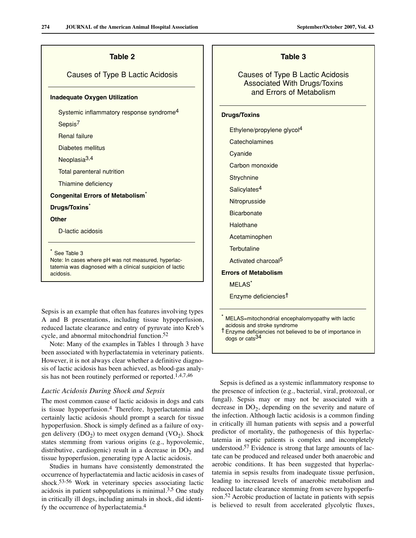| Table 2                                                                |                  |
|------------------------------------------------------------------------|------------------|
| Causes of Type B Lactic Acidosis                                       | Cat<br>A         |
| <b>Inadequate Oxygen Utilization</b>                                   |                  |
| Systemic inflammatory response syndrome <sup>4</sup>                   | Drugs/Tox        |
| Sepsis <sup>7</sup>                                                    | Ethylen          |
| <b>Renal failure</b>                                                   | Catech           |
| Diabetes mellitus                                                      | Cyanid           |
| Neoplasia <sup>3,4</sup>                                               | Carbon           |
| Total parenteral nutrition                                             |                  |
| Thiamine deficiency                                                    | Strychr          |
| <b>Congenital Errors of Metabolism</b> <sup>®</sup>                    | Salicyla         |
| <b>Drugs/Toxins</b> *                                                  | Nitropru         |
| <b>Other</b>                                                           | <b>Bicarbo</b>   |
| D-lactic acidosis                                                      | Halotha          |
|                                                                        | Acetam           |
| See Table 3                                                            | Terbuta          |
| Note: In cases where pH was not measured, hyperlac-                    | Activate         |
| tatemia was diagnosed with a clinical suspicion of lactic<br>acidosis. | <b>Errors of</b> |
|                                                                        | MELAS            |

Sepsis is an example that often has features involving types A and B presentations, including tissue hypoperfusion, reduced lactate clearance and entry of pyruvate into Kreb's cycle, and abnormal mitochondrial function. 52

Note: Many of the examples in Tables 1 through 3 have been associated with hyperlactatemia in veterinary patients. However, it is not always clear whether a definitive diagnosis of lactic acidosis has been achieved, as blood-gas analysis has not been routinely performed or reported. 1,4,7,46

#### *Lactic Acidosis During Shock and Sepsis*

The most common cause of lactic acidosis in dogs and cats is tissue hypoperfusion. 4 Therefore, hyperlactatemia and certainly lactic acidosis should prompt a search for tissue hypoperfusion. Shock is simply defined as a failure of oxygen delivery  $(DO<sub>2</sub>)$  to meet oxygen demand  $(VO<sub>2</sub>)$ . Shock states stemming from various origins (e.g., hypovolemic, distributive, cardiogenic) result in a decrease in  $DO<sub>2</sub>$  and tissue hypoperfusion, generating type A lactic acidosis.

Studies in humans have consistently demonstrated the occurrence of hyperlactatemia and lactic acidosis in cases of shock. 53-56 Work in veterinary species associating lactic acidosis in patient subpopulations is minimal. 3,5 One study in critically ill dogs, including animals in shock, did identify the occurrence of hyperlactatemia. 4



Sepsis is defined as a systemic inflammatory response to the presence of infection (e.g., bacterial, viral, protozoal, or fungal). Sepsis may or may not be associated with a decrease in  $DO<sub>2</sub>$ , depending on the severity and nature of the infection. Although lactic acidosis is a common finding in critically ill human patients with sepsis and a powerful predictor of mortality, the pathogenesis of this hyperlactatemia in septic patients is complex and incompletely understood. 57 Evidence is strong that large amounts of lactate can be produced and released under both anaerobic and aerobic conditions. It has been suggested that hyperlactatemia in sepsis results from inadequate tissue perfusion, leading to increased levels of anaerobic metabolism and reduced lactate clearance stemming from severe hypoperfusion. 52 Aerobic production of lactate in patients with sepsis is believed to result from accelerated glycolytic fluxes,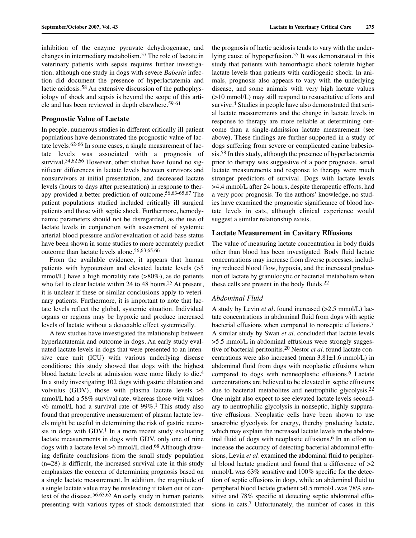inhibition of the enzyme pyruvate dehydrogenase, and changes in intermediary metabolism. 57 The role of lactate in veterinary patients with sepsis requires further investigation, although one study in dogs with severe *Babesia* infection did document the presence of hyperlactatemia and lactic acidosis. 58 An extensive discussion of the pathophysiology of shock and sepsis is beyond the scope of this article and has been reviewed in depth elsewhere. 59-61

#### **Prognostic Value of Lactate**

In people, numerous studies in different critically ill patient populations have demonstrated the prognostic value of lactate levels. 62-66 In some cases, a single measurement of lactate levels was associated with a prognosis of survival.<sup>54,62,66</sup> However, other studies have found no significant differences in lactate levels between survivors and nonsurvivors at initial presentation, and decreased lactate levels (hours to days after presentation) in response to therapy provided a better prediction of outcome. 56,63-65,67 The patient populations studied included critically ill surgical patients and those with septic shock. Furthermore, hemodynamic parameters should not be disregarded, as the use of lactate levels in conjunction with assessment of systemic arterial blood pressure and/or evaluation of acid-base status have been shown in some studies to more accurately predict outcome than lactate levels alone. 56,63,65,66

From the available evidence, it appears that human patients with hypotension and elevated lactate levels (>5 mmol/L) have a high mortality rate (>80%), as do patients who fail to clear lactate within 24 to 48 hours.<sup>25</sup> At present, it is unclear if these or similar conclusions apply to veterinary patients. Furthermore, it is important to note that lactate levels reflect the global, systemic situation. Individual organs or regions may be hypoxic and produce increased levels of lactate without a detectable effect systemically.

A few studies have investigated the relationship between hyperlactatemia and outcome in dogs. An early study evaluated lactate levels in dogs that were presented to an intensive care unit (ICU) with various underlying disease conditions; this study showed that dogs with the highest blood lactate levels at admission were more likely to die. 4 In a study investigating 102 dogs with gastric dilatation and volvulus (GDV), those with plasma lactate levels  $>6$ mmol/L had a 58% survival rate, whereas those with values <6 mmol/L had a survival rate of 99%. 1 This study also found that preoperative measurement of plasma lactate levels might be useful in determining the risk of gastric necrosis in dogs with GDV. 1 In a more recent study evaluating lactate measurements in dogs with GDV, only one of nine dogs with a lactate level >6 mmol/L died. 68 Although drawing definite conclusions from the small study population (n=28) is difficult, the increased survival rate in this study emphasizes the concern of determining prognosis based on a single lactate measurement. In addition, the magnitude of a single lactate value may be misleading if taken out of context of the disease. 56,63,65 An early study in human patients presenting with various types of shock demonstrated that the prognosis of lactic acidosis tends to vary with the underlying cause of hypoperfusion. 55 It was demonstrated in this study that patients with hemorrhagic shock tolerate higher lactate levels than patients with cardiogenic shock. In animals, prognosis also appears to vary with the underlying disease, and some animals with very high lactate values (>10 mmol/L) may still respond to resuscitative efforts and survive. 4 Studies in people have also demonstrated that serial lactate measurements and the change in lactate levels in response to therapy are more reliable at determining outcome than a single-admission lactate measurement (see above). These findings are further supported in a study of dogs suffering from severe or complicated canine babesiosis. 58 In this study, although the presence of hyperlactatemia prior to therapy was suggestive of a poor prognosis, serial lactate measurements and response to therapy were much stronger predictors of survival. Dogs with lactate levels >4.4 mmol/L after 24 hours, despite therapeutic efforts, had a very poor prognosis. To the authors' knowledge, no studies have examined the prognostic significance of blood lactate levels in cats, although clinical experience would suggest a similar relationship exists.

#### **Lactate Measurement in Cavitary Effusions**

The value of measuring lactate concentration in body fluids other than blood has been investigated. Body fluid lactate concentrations may increase from diverse processes, including reduced blood flow, hypoxia, and the increased production of lactate by granulocytic or bacterial metabolism when these cells are present in the body fluids. 22

#### *Abdominal Fluid*

A study by Levin *et al*. found increased (>2.5 mmol/L) lactate concentrations in abdominal fluid from dogs with septic bacterial effusions when compared to nonseptic effusions.<sup>7</sup> A similar study by Swan *et al*. concluded that lactate levels >5.5 mmol/L in abdominal effusions were strongly suggestive of bacterial peritonitis. 20 Nestor *et al*. found lactate concentrations were also increased (mean 3.81±1.6 mmol/L) in abdominal fluid from dogs with neoplastic effusions when compared to dogs with nonneoplastic effusions. 6 Lactate concentrations are believed to be elevated in septic effusions due to bacterial metabolites and neutrophilic glycolysis.<sup>22</sup> One might also expect to see elevated lactate levels secondary to neutrophilic glycolysis in nonseptic, highly suppurative effusions. Neoplastic cells have been shown to use anaerobic glycolysis for energy, thereby producing lactate, which may explain the increased lactate levels in the abdominal fluid of dogs with neoplastic effusions. 6 In an effort to increase the accuracy of detecting bacterial abdominal effusions, Levin *et al*. examined the abdominal fluid to peripheral blood lactate gradient and found that a difference of >2 mmol/L was 63% sensitive and 100% specific for the detection of septic effusions in dogs, while an abdominal fluid to peripheral blood lactate gradient >0.5 mmol/L was 78% sensitive and 78% specific at detecting septic abdominal effusions in cats. 7 Unfortunately, the number of cases in this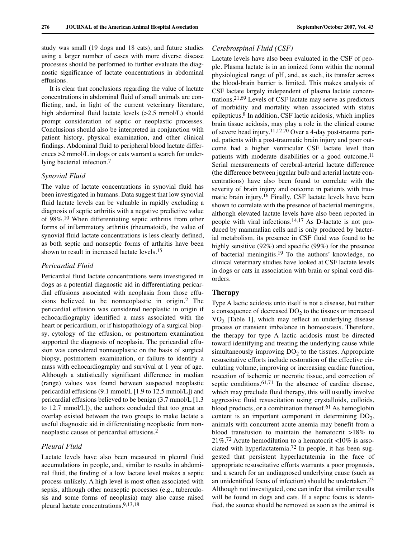study was small (19 dogs and 18 cats), and future studies using a larger number of cases with more diverse disease processes should be performed to further evaluate the diagnostic significance of lactate concentrations in abdominal effusions.

It is clear that conclusions regarding the value of lactate concentrations in abdominal fluid of small animals are conflicting, and, in light of the current veterinary literature, high abdominal fluid lactate levels ( $>2.5$  mmol/L) should prompt consideration of septic or neoplastic processes. Conclusions should also be interpreted in conjunction with patient history, physical examination, and other clinical findings. Abdominal fluid to peripheral blood lactate differences >2 mmol/L in dogs or cats warrant a search for underlying bacterial infection. 7

#### *Synovial Fluid*

The value of lactate concentrations in synovial fluid has been investigated in humans. Data suggest that low synovial fluid lactate levels can be valuable in rapidly excluding a diagnosis of septic arthritis with a negative predictive value of 98%. 10 When differentiating septic arthritis from other forms of inflammatory arthritis (rheumatoid), the value of synovial fluid lactate concentrations is less clearly defined, as both septic and nonseptic forms of arthritis have been shown to result in increased lactate levels. 15

### *Pericardial Fluid*

Pericardial fluid lactate concentrations were investigated in dogs as a potential diagnostic aid in differentiating pericardial effusions associated with neoplasia from those effusions believed to be nonneoplastic in origin.2 The pericardial effusion was considered neoplastic in origin if echocardiography identified a mass associated with the heart or pericardium, or if histopathology of a surgical biopsy, cytology of the effusion, or postmortem examination supported the diagnosis of neoplasia. The pericardial effusion was considered nonneoplastic on the basis of surgical biopsy, postmortem examination, or failure to identify a mass with echocardiography and survival at 1 year of age. Although a statistically significant difference in median (range) values was found between suspected neoplastic pericardial effusions (9.1 mmol/L [1.9 to 12.5 mmol/L]) and pericardial effusions believed to be benign (3.7 mmol/L [1.3 to 12.7 mmol/L]), the authors concluded that too great an overlap existed between the two groups to make lactate a useful diagnostic aid in differentiating neoplastic from nonneoplastic causes of pericardial effusions. 2

#### *Pleural Fluid*

Lactate levels have also been measured in pleural fluid accumulations in people, and, similar to results in abdominal fluid, the finding of a low lactate level makes a septic process unlikely. A high level is most often associated with sepsis, although other nonseptic processes (e.g., tuberculosis and some forms of neoplasia) may also cause raised pleural lactate concentrations. 9,13,18

### *Cerebrospinal Fluid (CSF)*

Lactate levels have also been evaluated in the CSF of people. Plasma lactate is in an ionized form within the normal physiological range of pH, and, as such, its transfer across the blood-brain barrier is limited. This makes analysis of CSF lactate largely independent of plasma lactate concentrations. 21,69 Levels of CSF lactate may serve as predictors of morbidity and mortality when associated with status epilepticus. 8 In addition, CSF lactic acidosis, which implies brain tissue acidosis, may play a role in the clinical course of severe head injury. 11,12,70 Over a 4-day post-trauma period, patients with a post-traumatic brain injury and poor outcome had a higher ventricular CSF lactate level than patients with moderate disabilities or a good outcome.<sup>11</sup> Serial measurements of cerebral-arterial lactate difference (the difference between jugular bulb and arterial lactate concentrations) have also been found to correlate with the severity of brain injury and outcome in patients with traumatic brain injury. 16 Finally, CSF lactate levels have been shown to correlate with the presence of bacterial meningitis, although elevated lactate levels have also been reported in people with viral infections. 14,17 As D-lactate is not produced by mammalian cells and is only produced by bacterial metabolism, its presence in CSF fluid was found to be highly sensitive (92%) and specific (99%) for the presence of bacterial meningitis. 19 To the authors' knowledge, no clinical veterinary studies have looked at CSF lactate levels in dogs or cats in association with brain or spinal cord disorders.

#### **Therapy**

Type A lactic acidosis unto itself is not a disease, but rather a consequence of decreased  $DO<sub>2</sub>$  to the tissues or increased  $VO<sub>2</sub>$  [Table 1], which may reflect an underlying disease process or transient imbalance in homeostasis. Therefore, the therapy for type A lactic acidosis must be directed toward identifying and treating the underlying cause while simultaneously improving  $DO<sub>2</sub>$  to the tissues. Appropriate resuscitative efforts include restoration of the effective circulating volume, improving or increasing cardiac function, resection of ischemic or necrotic tissue, and correction of septic conditions.<sup>61,71</sup> In the absence of cardiac disease, which may preclude fluid therapy, this will usually involve aggressive fluid resuscitation using crystalloids, colloids, blood products, or a combination thereof. 61 As hemoglobin content is an important component in determining  $DO<sub>2</sub>$ , animals with concurrent acute anemia may benefit from a blood transfusion to maintain the hematocrit >18% to 21%. 72 Acute hemodilution to a hematocrit <10% is associated with hyperlactatemia. 72 In people, it has been suggested that persistent hyperlactatemia in the face of appropriate resuscitative efforts warrants a poor prognosis, and a search for an undiagnosed underlying cause (such as an unidentified focus of infection) should be undertaken. 73 Although not investigated, one can infer that similar results will be found in dogs and cats. If a septic focus is identified, the source should be removed as soon as the animal is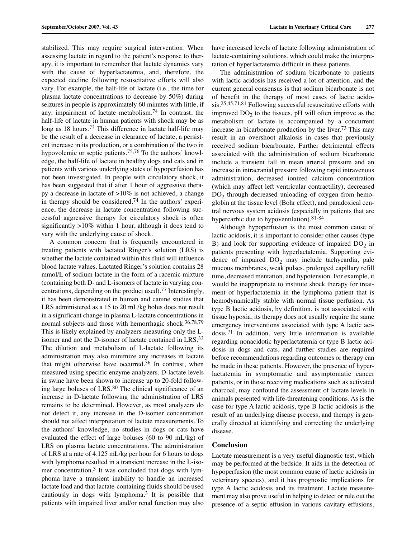stabilized. This may require surgical intervention. When assessing lactate in regard to the patient's response to therapy, it is important to remember that lactate dynamics vary with the cause of hyperlactatemia, and, therefore, the expected decline following resuscitative efforts will also vary. For example, the half-life of lactate (i.e., the time for plasma lactate concentrations to decrease by 50%) during seizures in people is approximately 60 minutes with little, if any, impairment of lactate metabolism. 74 In contrast, the half-life of lactate in human patients with shock may be as long as 18 hours.<sup>73</sup> This difference in lactate half-life may be the result of a decrease in clearance of lactate, a persistent increase in its production, or a combination of the two in hypovolemic or septic patients. 75,76 To the authors' knowledge, the half-life of lactate in healthy dogs and cats and in patients with various underlying states of hypoperfusion has not been investigated. In people with circulatory shock, it has been suggested that if after 1 hour of aggressive therapy a decrease in lactate of >10% is not achieved, a change in therapy should be considered. 74 In the authors' experience, the decrease in lactate concentration following successful aggressive therapy for circulatory shock is often significantly >10% within 1 hour, although it does tend to vary with the underlying cause of shock.

A common concern that is frequently encountered in treating patients with lactated Ringer's solution (LRS) is whether the lactate contained within this fluid will influence blood lactate values. Lactated Ringer's solution contains 28 mmol/L of sodium lactate in the form of a racemic mixture (containing both D- and L-isomers of lactate in varying concentrations, depending on the product used). 77 Interestingly, it has been demonstrated in human and canine studies that LRS administered as a 15 to 20 mL/kg bolus does not result in a significant change in plasma L-lactate concentrations in normal subjects and those with hemorrhagic shock. 36,78,79 This is likely explained by analyzers measuring only the Lisomer and not the D-isomer of lactate contained in LRS.<sup>33</sup> The dilution and metabolism of L-lactate following its administration may also minimize any increases in lactate that might otherwise have occurred.<sup>36</sup> In contrast, when measured using specific enzyme analyzers, D-lactate levels in swine have been shown to increase up to 20-fold following large boluses of LRS. 80 The clinical significance of an increase in D-lactate following the administration of LRS remains to be determined. However, as most analyzers do not detect it, any increase in the D-isomer concentration should not affect interpretation of lactate measurements. To the authors' knowledge, no studies in dogs or cats have evaluated the effect of large boluses (60 to 90 mL/kg) of LRS on plasma lactate concentrations. The administration of LRS at a rate of 4.125 mL/kg per hour for 6 hours to dogs with lymphoma resulted in a transient increase in the L-isomer concentration. 3 It was concluded that dogs with lymphoma have a transient inability to handle an increased lactate load and that lactate-containing fluids should be used cautiously in dogs with lymphoma. 3 It is possible that patients with impaired liver and/or renal function may also have increased levels of lactate following administration of lactate-containing solutions, which could make the interpretation of hyperlactatemia difficult in these patients.

The administration of sodium bicarbonate to patients with lactic acidosis has received a lot of attention, and the current general consensus is that sodium bicarbonate is not of benefit in the therapy of most cases of lactic acidosis. 25,45,71,81 Following successful resuscitative efforts with improved  $DO<sub>2</sub>$  to the tissues, pH will often improve as the metabolism of lactate is accompanied by a concurrent increase in bicarbonate production by the liver. 73 This may result in an overshoot alkalosis in cases that previously received sodium bicarbonate. Further detrimental effects associated with the administration of sodium bicarbonate include a transient fall in mean arterial pressure and an increase in intracranial pressure following rapid intravenous administration, decreased ionized calcium concentration (which may affect left ventricular contractility), decreased  $DO<sub>2</sub>$  through decreased unloading of oxygen from hemoglobin at the tissue level (Bohr effect), and paradoxical central nervous system acidosis (especially in patients that are hypercarbic due to hypoventilation).<sup>81-84</sup>

Although hypoperfusion is the most common cause of lactic acidosis, it is important to consider other causes (type B) and look for supporting evidence of impaired  $DO<sub>2</sub>$  in patients presenting with hyperlactatemia. Supporting evidence of impaired  $DO<sub>2</sub>$  may include tachycardia, pale mucous membranes, weak pulses, prolonged capillary refill time, decreased mentation, and hypotension. For example, it would be inappropriate to institute shock therapy for treatment of hyperlactatemia in the lymphoma patient that is hemodynamically stable with normal tissue perfusion. As type B lactic acidosis, by definition, is not associated with tissue hypoxia, its therapy does not usually require the same emergency interventions associated with type A lactic acidosis. 71 In addition, very little information is available regarding nonacidotic hyperlactatemia or type B lactic acidosis in dogs and cats, and further studies are required before recommendations regarding outcomes or therapy can be made in these patients. However, the presence of hyperlactatemia in symptomatic and asymptomatic cancer patients, or in those receiving medications such as activated charcoal, may confound the assessment of lactate levels in animals presented with life-threatening conditions. As is the case for type A lactic acidosis, type B lactic acidosis is the result of an underlying disease process, and therapy is generally directed at identifying and correcting the underlying disease.

#### **Conclusion**

Lactate measurement is a very useful diagnostic test, which may be performed at the bedside. It aids in the detection of hypoperfusion (the most common cause of lactic acidosis in veterinary species), and it has prognostic implications for type A lactic acidosis and its treatment. Lactate measurement may also prove useful in helping to detect or rule out the presence of a septic effusion in various cavitary effusions,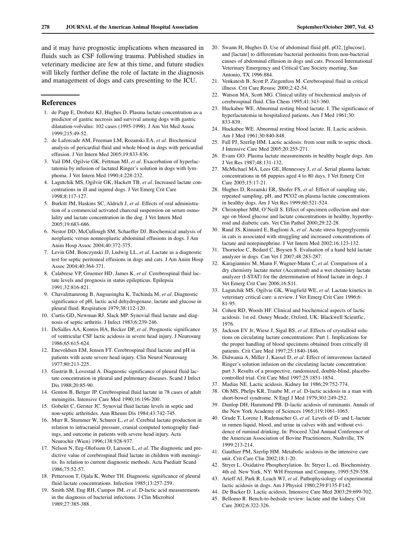and it may have prognostic implications when measured in fluids such as CSF following trauma. Published studies in veterinary medicine are few at this time, and future studies will likely further define the role of lactate in the diagnosis and management of dogs and cats presenting to the ICU.

#### **References**

- 11. de Papp E, Drobatz KJ, Hughes D. Plasma lactate concentration as a predictor of gastric necrosis and survival among dogs with gastric dilatation-volvulus: 102 cases (1995-1998). J Am Vet Med Assoc  $1999.215.49-52$
- 12. de Laforcade AM, Freeman LM, Rozanski EA, *et al*. Biochemical analysis of pericardial fluid and whole blood in dogs with pericardial effusion. J Vet Intern Med 2005;19:833-836.
- 13. Vail DM, Ogilvie GK, Fettman MJ, *et al*. Exacerbation of hyperlactatemia by infusion of lactated Ringer's solution in dogs with lymphoma. J Vet Intern Med 1990;4:228-232.
- 14. Lagutchik MS, Ogilvie GK, Hackett TB, *et al*. Increased lactate concentrations in ill and injured dogs. J Vet Emerg Crit Care 1998;8:117-127.
- 15. Burkitt JM, Haskins SC, Aldrich J, *et al*. Effects of oral administration of a commercial activated charcoal suspension on serum osmolality and lactate concentration in the dog. J Vet Intern Med 2005;19:683-686.
- 16. Nestor DD, McCullough SM, Schaeffer DJ. Biochemical analysis of neoplastic versus nonneoplastic abdominal effusions in dogs. J Am Anim Hosp Assoc 2004;40:372-375.
- 17. Levin GM, Bonczynski JJ, Ludwig LL, *et al*. Lactate as a diagnostic test for septic peritoneal effusions in dogs and cats. J Am Anim Hosp Assoc 2004;40:364-371.
- 18. Calabrese VP, Gruemer HD, James K, *et al*. Cerebrospinal fluid lactate levels and prognosis in status epilepticus. Epilepsia 1991;32:816-821.
- 19. Chavalittamrong B, Angsusingha K, Tuchinda M, *et al*. Diagnostic significance of pH, lactic acid dehydrogenase, lactate and glucose in pleural fluid. Respiration 1979;38:112-120.
- 10. Curtis GD, Newman RJ, Slack MP. Synovial fluid lactate and diagnosis of septic arthritis. J Infect 1983;6:239-246.
- 11. DeSalles AA, Kontos HA, Becker DP, *et al*. Prognostic significance of ventricular CSF lactic acidosis in severe head injury. J Neurosurg 1986;65:615-624.
- 12. Enevoldsen EM, Jensen FT. Cerebrospinal fluid lactate and pH in patients with acute severe head injury. Clin Neurol Neurosurg 1977;80:213-225.
- 13. Gastrin B, Lovestad A. Diagnostic significance of pleural fluid lactate concentration in pleural and pulmonary diseases. Scand J Infect Dis 1988;20:85-90.
- 14. Genton B, Berger JP. Cerebrospinal fluid lactate in 78 cases of adult meningitis. Intensive Care Med 1990;16:196-200.
- 15. Gobelet C, Gerster JC. Synovial fluid lactate levels in septic and non-septic arthritides. Ann Rheum Dis 1984;43:742-745.
- 16. Murr R, Stummer W, Schurer L, *et al*. Cerebral lactate production in relation to intracranial pressure, cranial computed tomography findings, and outcome in patients with severe head injury. Acta Neurochir (Wien) 1996;138:928-937.
- 17. Nelson N, Eeg-Olofsson O, Larsson L, *et al*. The diagnostic and predictive value of cerebrospinal fluid lactate in children with meningitis. Its relation to current diagnostic methods. Acta Paediatr Scand 1986;75:52-57.
- 18. Pettersson T, Ojala K, Weber TH. Diagnostic significance of pleural fluid lactate concentrations. Infection 1985;13:257-259.
- 19. Smith SM, Eng RH, Campos JM, *et al*. D-lactic acid measurements in the diagnosis of bacterial infections. J Clin Microbiol 1989;27:385-388.
- 20. Swann H, Hughes D. Use of abdominal fluid pH, pO2, [glucose], and [lactate] to differentiate bacterial peritonitis from non-bacterial causes of abdominal effusion in dogs and cats. Proceed International Veterinary Emergency and Critical Care Society meeting, San Antonio, TX 1996:884.
- 21. Venkatesh B, Scott P, Ziegenfuss M. Cerebrospinal fluid in critical illness. Crit Care Resusc 2000;2:42-54.
- 22. Watson MA, Scott MG. Clinical utility of biochemical analysis of cerebrospinal fluid. Clin Chem 1995;41:343-360.
- 23. Huckabee WE. Abnormal resting blood lactate. I. The significance of hyperlactatemia in hospitalized patients. Am J Med 1961;30: 833-839.
- 24. Huckabee WE. Abnormal resting blood lactate. II. Lactic acidosis. Am J Med 1961;30:840-848.
- 25. Fall PJ, Szerlip HM. Lactic acidosis: from sour milk to septic shock. J Intensive Care Med 2005;20:255-271.
- 26. Evans GO. Plasma lactate measurements in healthy beagle dogs. Am J Vet Res 1987;48:131-132.
- 27. McMichael MA, Lees GE, Hennessey J, *et al*. Serial plasma lactate concentrations in 68 puppies aged 4 to 80 days. J Vet Emerg Crit Care 2005;15:17-21.
- 28. Hughes D, Rozanski ER, Shofer FS, *et al*. Effect of sampling site, repeated sampling, pH, and PCO2 on plasma lactate concentrations in healthy dogs. Am J Vet Res 1999;60:521-524.
- 29. Christopher MM, O'Neill S. Effect of specimen collection and storage on blood glucose and lactate concentrations in healthy, hyperthyroid and diabetic cats. Vet Clin Pathol 2000;29:22-28.
- 30. Rand JS, Kinnaird E, Baglioni A, *et al*. Acute stress hyperglycemia in cats is associated with struggling and increased concentrations of lactate and norepinephrine. J Vet Intern Med 2002;16:123-132.
- 31. Thorneloe C, Bedard C, Boysen S. Evaluation of a hand held lactate analyzer in dogs. Can Vet J 2007;48:283-287.
- 32. Karagianniss M, Mann F, Wagner-Mann C, *et al.* Comparison of a dry chemistry lactate meter (Accutrend) and a wet chemistry lactate analyzer (I-STAT) for the determination of blood lactate in dogs. J Vet Emerg Crit Care 2006;16:S11.
- 33. Lagutchik MS, Ogilvie GK, Wingfield WE, *et al*. Lactate kinetics in veterinary critical care: a review. J Vet Emerg Crit Care 1996;6: 81-95.
- 34. Cohen RD, Woods HF. Clinical and biochemical aspects of lactic acidosis. 1st ed. Osney Meade, Oxford, UK: Blackwell Scientfic, 1976.
- 35. Jackson EV Jr, Wiese J, Sigal BS, *et al*. Effects of crystalloid solutions on circulating lactate concentrations: Part 1. Implications for the proper handling of blood specimens obtained from critically ill patients. Crit Care Med 1997;25:1840-1846.
- 36. Didwania A, Miller J, Kassel D, *et al*. Effect of intravenous lactated Ringer's solution infusion on the circulating lactate concentration: part 3. Results of a prospective, randomized, double-blind, placebocontrolled trial. Crit Care Med 1997;25:1851-1854.
- 37. Madias NE. Lactic acidosis. Kidney Int 1986;29:752-774.
- 38. Oh MS, Phelps KR, Traube M, *et al*. D-lactic acidosis in a man with short-bowel syndrome. N Engl J Med 1979;301:249-252.
- 39. Dunlop DH, Hammond PB. D-lactic acidosis of ruminants. Annals of the New York Academy of Sciences 1965;119:1061-1065.
- 40. Grude T, Lorenz I, Rademacher G, *et al*. Levels of D- and L-lactate in rumen liquid, blood, and urine in calves with and without evidence of ruminal drinking. In: Proceed 32nd Annual Conference of the American Association of Bovine Practitioners, Nashville, TN 1999:213-214.
- 41. Gauthier PM, Szerlip HM. Metabolic acidosis in the intensive care unit. Crit Care Clin 2002;18:1-20.
- 42. Stryer L. Oxidative Phosphorylation. In: Stryer L, ed. Biochemistry. 4th ed. New York, NY: WH Freeman and Company, 1995:529-558.
- 43. Arieff AI, Park R, Leach WJ, *et al*. Pathophysiology of experimental lactic acidosis in dogs. Am J Physiol 1980;239:F135-F142.
- 44. De Backer D. Lactic acidosis. Intensive Care Med 2003;29:699-702.
- 45. Bellomo R. Bench-to-bedside review: lactate and the kidney. Crit Care 2002;6:322-326.